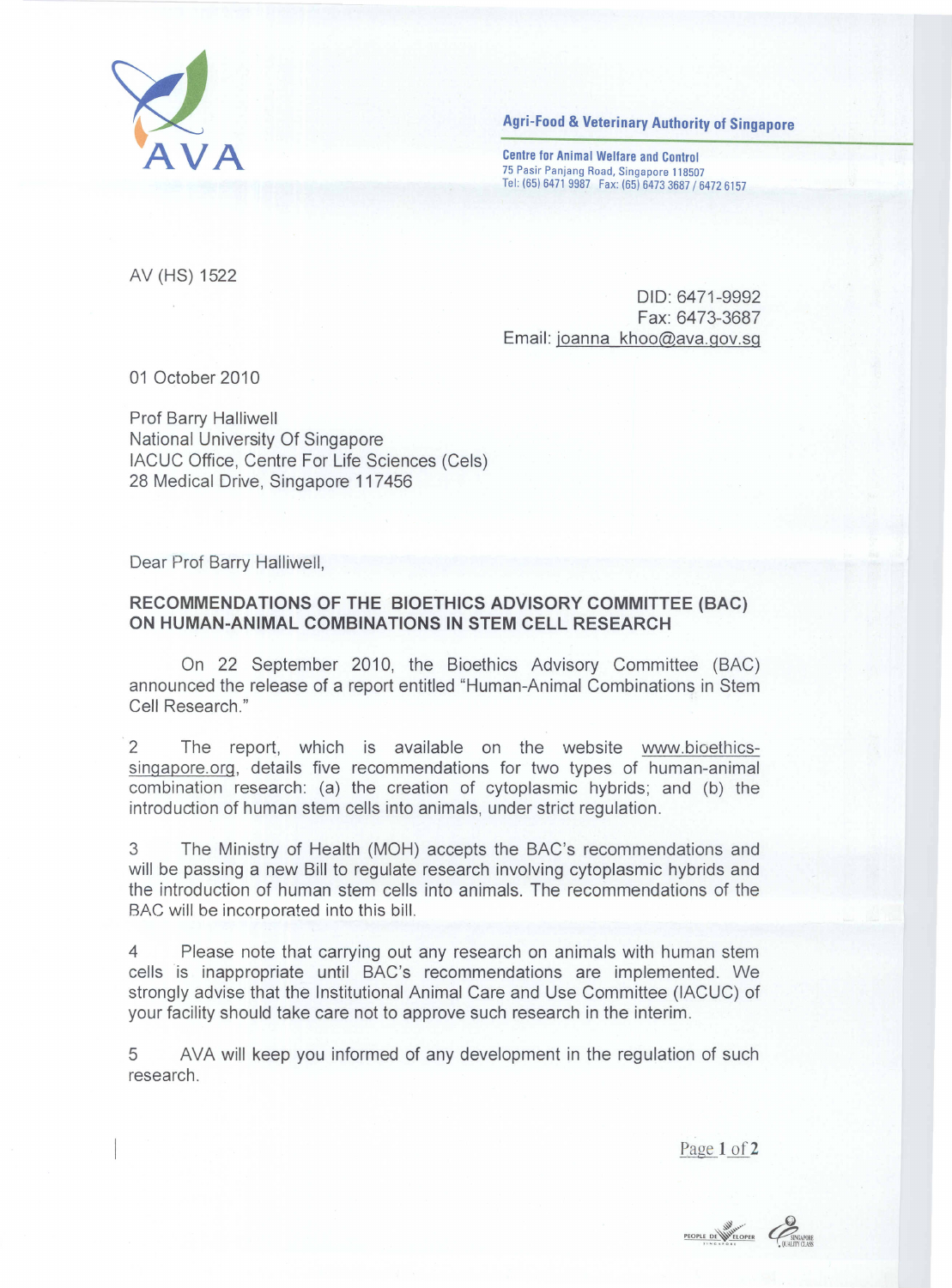

**Agri-Food & Veterinary Authority of Singapore** 

Centre for Animal Welfare and Control 75 Pasir Panjang Road. Singapore 118507 Tel: (65) 6471 9987 Fax: (65) 6473 3687/6472 6157

AV (HS) 1522

DID: 6471-9992 Fax: 6473-3687 Email: joanna khoo@ava.gov.sg

01 October 2010

Prof Barry Halliwell National University Of Singapore IACUC Office, Centre For Life Sciences (Cels) 28 Medical Drive, Singapore 117456

Dear Prof Barry Halliwell,

## **RECOMMENDATIONS OF THE BIOETHICS ADVISORY COMMITTEE (BAC) ON HUMAN-ANIMAL COMBINATIONS IN STEM CELL RESEARCH**

On 22 September 2010, the Bioethics Advisory Committee (BAC) announced the release of a report entitled "Human-Animal Combinations in Stem Cell Research."

2 The report, which is available on the website www.bioethicssingapore.org, details five recommendations for two types of human-animal combination research: (a) the creation of cytoplasmic hybrids; and (b) the introduction of human stem cells into animals, under strict regulation.

3 The Ministry of Health (MOH) accepts the BAC's recommendations and will be passing a new Bill to regulate research involving cytoplasmic hybrids and the introduction of human stem cells into animals. The recommendations of the BAC will be incorporated into this bill.

4 Please note that carrying out any research on animals with human stem cells is inappropriate until BAC's recommendations are implemented. We strongly advise that the Institutional Animal Care and Use Committee (IACUC) of your facility should take care not to approve such research in the interim.

5 AVA will keep you informed of any development in the regulation of such research.

Page 1 of 2